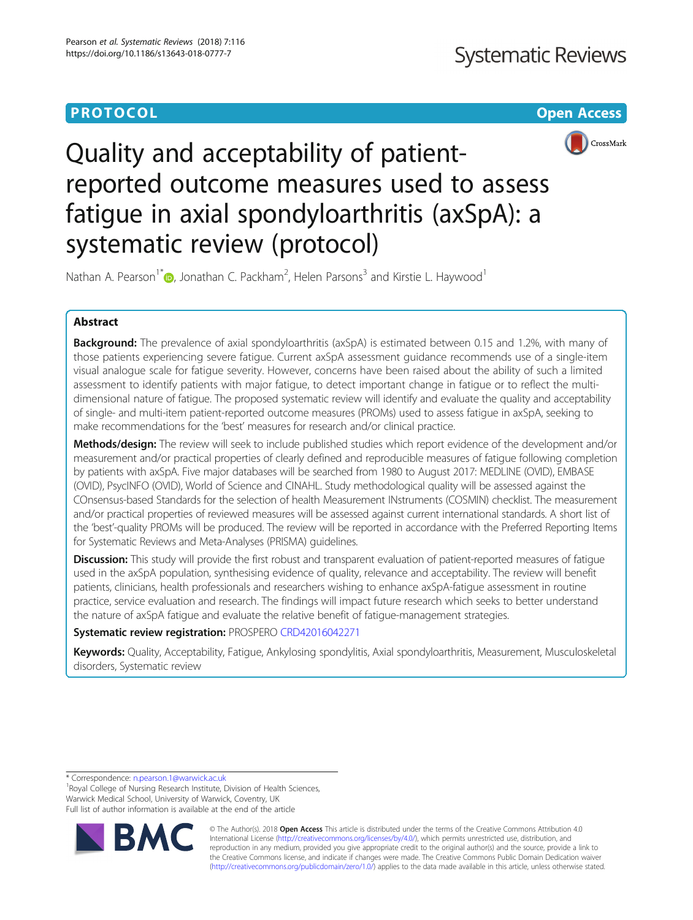# **PROTOCOL CONSUMING THE CONSUMING TEACHER CONSUMING THE CONSUMING TEACHER CONSUMING THE CONSUMING TEACHER CONSUMING**



Quality and acceptability of patientreported outcome measures used to assess fatigue in axial spondyloarthritis (axSpA): a systematic review (protocol)

Nathan A. Pearson<sup>1\*</sup> D[,](http://orcid.org/0000-0002-1071-7529) Jonathan C. Packham<sup>2</sup>, Helen Parsons<sup>3</sup> and Kirstie L. Haywood<sup>1</sup>

## Abstract

Background: The prevalence of axial spondyloarthritis (axSpA) is estimated between 0.15 and 1.2%, with many of those patients experiencing severe fatigue. Current axSpA assessment guidance recommends use of a single-item visual analogue scale for fatigue severity. However, concerns have been raised about the ability of such a limited assessment to identify patients with major fatigue, to detect important change in fatigue or to reflect the multidimensional nature of fatigue. The proposed systematic review will identify and evaluate the quality and acceptability of single- and multi-item patient-reported outcome measures (PROMs) used to assess fatigue in axSpA, seeking to make recommendations for the 'best' measures for research and/or clinical practice.

Methods/design: The review will seek to include published studies which report evidence of the development and/or measurement and/or practical properties of clearly defined and reproducible measures of fatigue following completion by patients with axSpA. Five major databases will be searched from 1980 to August 2017: MEDLINE (OVID), EMBASE (OVID), PsycINFO (OVID), World of Science and CINAHL. Study methodological quality will be assessed against the COnsensus-based Standards for the selection of health Measurement INstruments (COSMIN) checklist. The measurement and/or practical properties of reviewed measures will be assessed against current international standards. A short list of the 'best'-quality PROMs will be produced. The review will be reported in accordance with the Preferred Reporting Items for Systematic Reviews and Meta-Analyses (PRISMA) guidelines.

Discussion: This study will provide the first robust and transparent evaluation of patient-reported measures of fatigue used in the axSpA population, synthesising evidence of quality, relevance and acceptability. The review will benefit patients, clinicians, health professionals and researchers wishing to enhance axSpA-fatigue assessment in routine practice, service evaluation and research. The findings will impact future research which seeks to better understand the nature of axSpA fatigue and evaluate the relative benefit of fatigue-management strategies.

### Systematic review registration: PROSPERO [CRD42016042271](http://www.crd.york.ac.uk/prospero/display_record.php?ID=CRD42016042271)

Keywords: Quality, Acceptability, Fatique, Ankylosing spondylitis, Axial spondyloarthritis, Measurement, Musculoskeletal disorders, Systematic review

\* Correspondence: [n.pearson.1@warwick.ac.uk](mailto:n.pearson.1@warwick.ac.uk) <sup>1</sup>

<sup>1</sup> Royal College of Nursing Research Institute, Division of Health Sciences, Warwick Medical School, University of Warwick, Coventry, UK Full list of author information is available at the end of the article



© The Author(s). 2018 Open Access This article is distributed under the terms of the Creative Commons Attribution 4.0 International License [\(http://creativecommons.org/licenses/by/4.0/](http://creativecommons.org/licenses/by/4.0/)), which permits unrestricted use, distribution, and reproduction in any medium, provided you give appropriate credit to the original author(s) and the source, provide a link to the Creative Commons license, and indicate if changes were made. The Creative Commons Public Domain Dedication waiver [\(http://creativecommons.org/publicdomain/zero/1.0/](http://creativecommons.org/publicdomain/zero/1.0/)) applies to the data made available in this article, unless otherwise stated.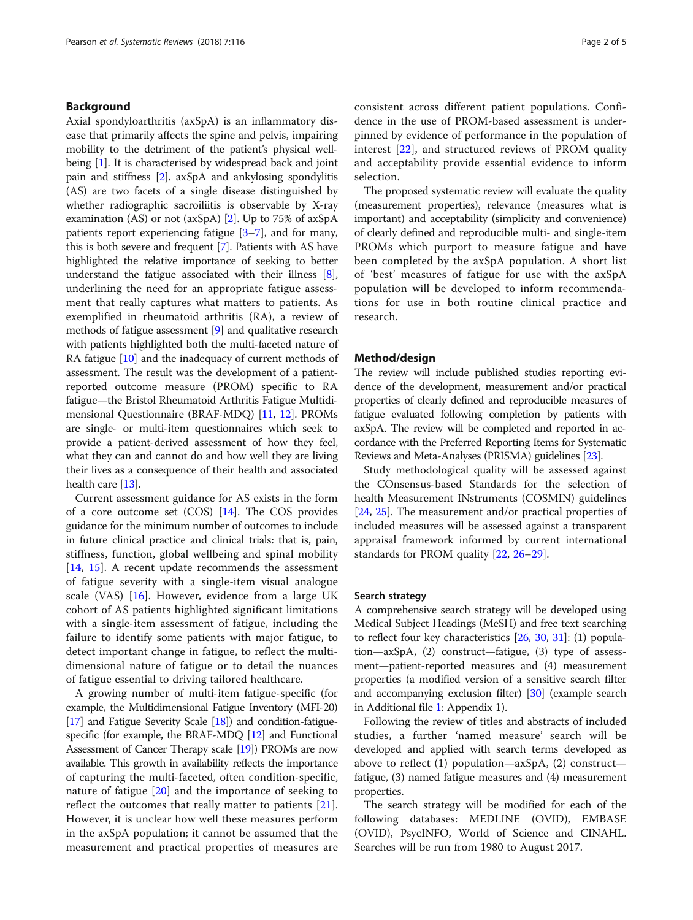### Background

Axial spondyloarthritis (axSpA) is an inflammatory disease that primarily affects the spine and pelvis, impairing mobility to the detriment of the patient's physical wellbeing [[1](#page-3-0)]. It is characterised by widespread back and joint pain and stiffness [[2\]](#page-3-0). axSpA and ankylosing spondylitis (AS) are two facets of a single disease distinguished by whether radiographic sacroiliitis is observable by X-ray examination (AS) or not (axSpA) [[2\]](#page-3-0). Up to 75% of axSpA patients report experiencing fatigue [[3](#page-3-0)–[7\]](#page-3-0), and for many, this is both severe and frequent [\[7](#page-3-0)]. Patients with AS have highlighted the relative importance of seeking to better understand the fatigue associated with their illness [[8](#page-3-0)], underlining the need for an appropriate fatigue assessment that really captures what matters to patients. As exemplified in rheumatoid arthritis (RA), a review of methods of fatigue assessment [[9](#page-3-0)] and qualitative research with patients highlighted both the multi-faceted nature of RA fatigue [[10](#page-3-0)] and the inadequacy of current methods of assessment. The result was the development of a patientreported outcome measure (PROM) specific to RA fatigue—the Bristol Rheumatoid Arthritis Fatigue Multidimensional Questionnaire (BRAF-MDQ) [\[11,](#page-3-0) [12](#page-4-0)]. PROMs are single- or multi-item questionnaires which seek to provide a patient-derived assessment of how they feel, what they can and cannot do and how well they are living their lives as a consequence of their health and associated health care [\[13\]](#page-4-0).

Current assessment guidance for AS exists in the form of a core outcome set (COS) [\[14\]](#page-4-0). The COS provides guidance for the minimum number of outcomes to include in future clinical practice and clinical trials: that is, pain, stiffness, function, global wellbeing and spinal mobility [[14,](#page-4-0) [15](#page-4-0)]. A recent update recommends the assessment of fatigue severity with a single-item visual analogue scale (VAS) [\[16](#page-4-0)]. However, evidence from a large UK cohort of AS patients highlighted significant limitations with a single-item assessment of fatigue, including the failure to identify some patients with major fatigue, to detect important change in fatigue, to reflect the multidimensional nature of fatigue or to detail the nuances of fatigue essential to driving tailored healthcare.

A growing number of multi-item fatigue-specific (for example, the Multidimensional Fatigue Inventory (MFI-20) [[17\]](#page-4-0) and Fatigue Severity Scale [[18\]](#page-4-0)) and condition-fatiguespecific (for example, the BRAF-MDQ [[12\]](#page-4-0) and Functional Assessment of Cancer Therapy scale [\[19\]](#page-4-0)) PROMs are now available. This growth in availability reflects the importance of capturing the multi-faceted, often condition-specific, nature of fatigue [\[20](#page-4-0)] and the importance of seeking to reflect the outcomes that really matter to patients [\[21](#page-4-0)]. However, it is unclear how well these measures perform in the axSpA population; it cannot be assumed that the measurement and practical properties of measures are consistent across different patient populations. Confidence in the use of PROM-based assessment is underpinned by evidence of performance in the population of interest [[22](#page-4-0)], and structured reviews of PROM quality and acceptability provide essential evidence to inform selection.

The proposed systematic review will evaluate the quality (measurement properties), relevance (measures what is important) and acceptability (simplicity and convenience) of clearly defined and reproducible multi- and single-item PROMs which purport to measure fatigue and have been completed by the axSpA population. A short list of 'best' measures of fatigue for use with the axSpA population will be developed to inform recommendations for use in both routine clinical practice and research.

### Method/design

The review will include published studies reporting evidence of the development, measurement and/or practical properties of clearly defined and reproducible measures of fatigue evaluated following completion by patients with axSpA. The review will be completed and reported in accordance with the Preferred Reporting Items for Systematic Reviews and Meta-Analyses (PRISMA) guidelines [\[23](#page-4-0)].

Study methodological quality will be assessed against the COnsensus-based Standards for the selection of health Measurement INstruments (COSMIN) guidelines [[24,](#page-4-0) [25\]](#page-4-0). The measurement and/or practical properties of included measures will be assessed against a transparent appraisal framework informed by current international standards for PROM quality [\[22](#page-4-0), [26](#page-4-0)–[29\]](#page-4-0).

### Search strategy

A comprehensive search strategy will be developed using Medical Subject Headings (MeSH) and free text searching to reflect four key characteristics [[26](#page-4-0), [30,](#page-4-0) [31\]](#page-4-0): (1) population—axSpA, (2) construct—fatigue, (3) type of assessment—patient-reported measures and (4) measurement properties (a modified version of a sensitive search filter and accompanying exclusion filter) [[30](#page-4-0)] (example search in Additional file [1:](#page-3-0) Appendix 1).

Following the review of titles and abstracts of included studies, a further 'named measure' search will be developed and applied with search terms developed as above to reflect (1) population—axSpA, (2) construct fatigue, (3) named fatigue measures and (4) measurement properties.

The search strategy will be modified for each of the following databases: MEDLINE (OVID), EMBASE (OVID), PsycINFO, World of Science and CINAHL. Searches will be run from 1980 to August 2017.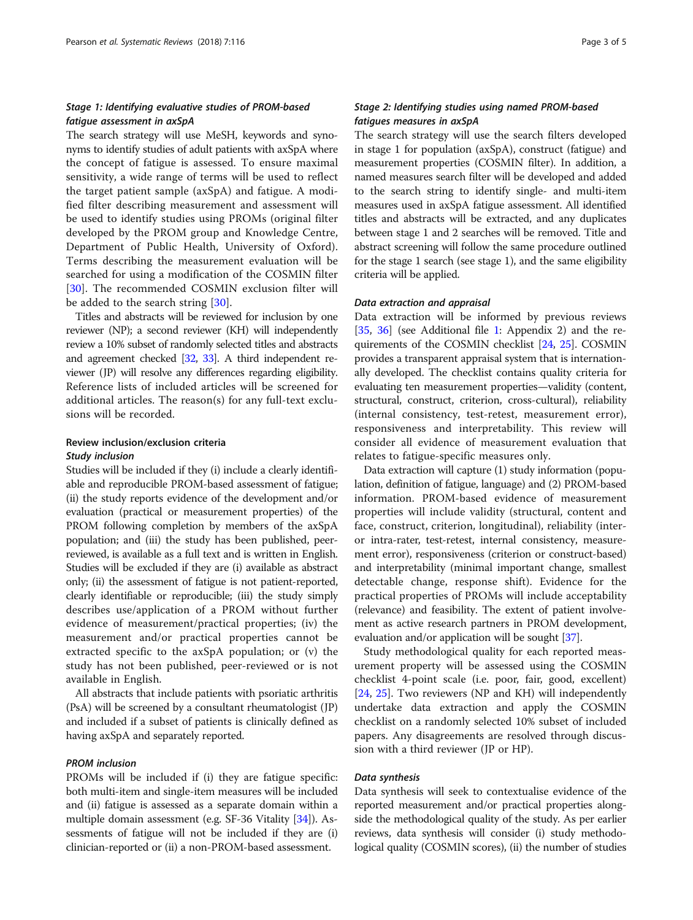### Stage 1: Identifying evaluative studies of PROM-based fatigue assessment in axSpA

The search strategy will use MeSH, keywords and synonyms to identify studies of adult patients with axSpA where the concept of fatigue is assessed. To ensure maximal sensitivity, a wide range of terms will be used to reflect the target patient sample (axSpA) and fatigue. A modified filter describing measurement and assessment will be used to identify studies using PROMs (original filter developed by the PROM group and Knowledge Centre, Department of Public Health, University of Oxford). Terms describing the measurement evaluation will be searched for using a modification of the COSMIN filter [[30\]](#page-4-0). The recommended COSMIN exclusion filter will be added to the search string [\[30](#page-4-0)].

Titles and abstracts will be reviewed for inclusion by one reviewer (NP); a second reviewer (KH) will independently review a 10% subset of randomly selected titles and abstracts and agreement checked [\[32](#page-4-0), [33\]](#page-4-0). A third independent reviewer (JP) will resolve any differences regarding eligibility. Reference lists of included articles will be screened for additional articles. The reason(s) for any full-text exclusions will be recorded.

### Review inclusion/exclusion criteria Study inclusion

Studies will be included if they (i) include a clearly identifiable and reproducible PROM-based assessment of fatigue; (ii) the study reports evidence of the development and/or evaluation (practical or measurement properties) of the PROM following completion by members of the axSpA population; and (iii) the study has been published, peerreviewed, is available as a full text and is written in English. Studies will be excluded if they are (i) available as abstract only; (ii) the assessment of fatigue is not patient-reported, clearly identifiable or reproducible; (iii) the study simply describes use/application of a PROM without further evidence of measurement/practical properties; (iv) the measurement and/or practical properties cannot be extracted specific to the axSpA population; or (v) the study has not been published, peer-reviewed or is not available in English.

All abstracts that include patients with psoriatic arthritis (PsA) will be screened by a consultant rheumatologist (JP) and included if a subset of patients is clinically defined as having axSpA and separately reported.

### PROM inclusion

PROMs will be included if (i) they are fatigue specific: both multi-item and single-item measures will be included and (ii) fatigue is assessed as a separate domain within a multiple domain assessment (e.g. SF-36 Vitality [\[34\]](#page-4-0)). Assessments of fatigue will not be included if they are (i) clinician-reported or (ii) a non-PROM-based assessment.

### Stage 2: Identifying studies using named PROM-based fatigues measures in axSpA

The search strategy will use the search filters developed in stage 1 for population (axSpA), construct (fatigue) and measurement properties (COSMIN filter). In addition, a named measures search filter will be developed and added to the search string to identify single- and multi-item measures used in axSpA fatigue assessment. All identified titles and abstracts will be extracted, and any duplicates between stage 1 and 2 searches will be removed. Title and abstract screening will follow the same procedure outlined for the stage 1 search (see stage 1), and the same eligibility criteria will be applied.

### Data extraction and appraisal

Data extraction will be informed by previous reviews [[35,](#page-4-0) [36](#page-4-0)] (see Additional file [1](#page-3-0): Appendix 2) and the requirements of the COSMIN checklist [[24](#page-4-0), [25\]](#page-4-0). COSMIN provides a transparent appraisal system that is internationally developed. The checklist contains quality criteria for evaluating ten measurement properties—validity (content, structural, construct, criterion, cross-cultural), reliability (internal consistency, test-retest, measurement error), responsiveness and interpretability. This review will consider all evidence of measurement evaluation that relates to fatigue-specific measures only.

Data extraction will capture (1) study information (population, definition of fatigue, language) and (2) PROM-based information. PROM-based evidence of measurement properties will include validity (structural, content and face, construct, criterion, longitudinal), reliability (interor intra-rater, test-retest, internal consistency, measurement error), responsiveness (criterion or construct-based) and interpretability (minimal important change, smallest detectable change, response shift). Evidence for the practical properties of PROMs will include acceptability (relevance) and feasibility. The extent of patient involvement as active research partners in PROM development, evaluation and/or application will be sought [\[37\]](#page-4-0).

Study methodological quality for each reported measurement property will be assessed using the COSMIN checklist 4-point scale (i.e. poor, fair, good, excellent) [[24,](#page-4-0) [25\]](#page-4-0). Two reviewers (NP and KH) will independently undertake data extraction and apply the COSMIN checklist on a randomly selected 10% subset of included papers. Any disagreements are resolved through discussion with a third reviewer (JP or HP).

### Data synthesis

Data synthesis will seek to contextualise evidence of the reported measurement and/or practical properties alongside the methodological quality of the study. As per earlier reviews, data synthesis will consider (i) study methodological quality (COSMIN scores), (ii) the number of studies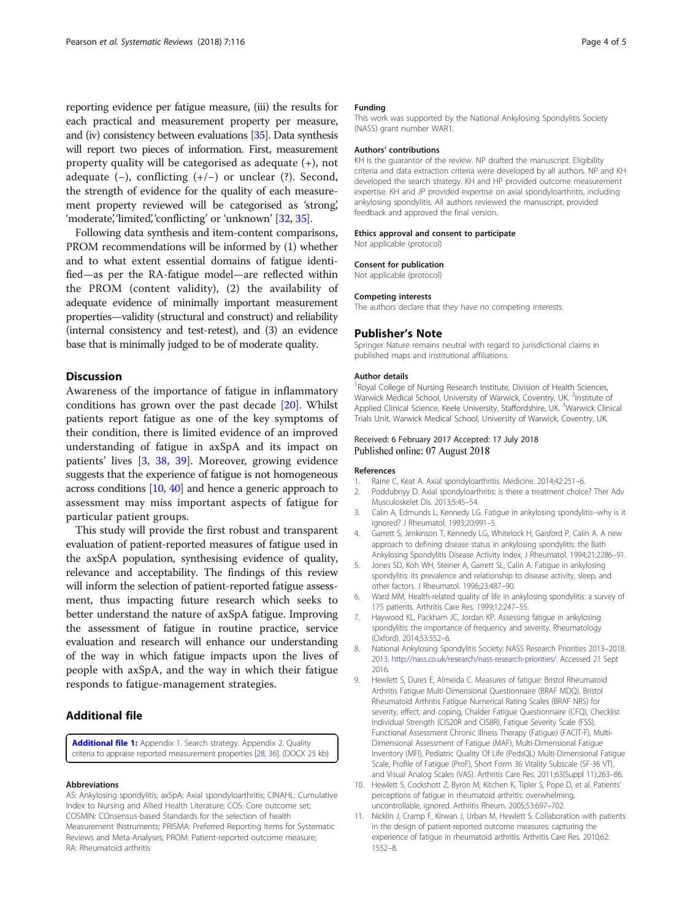<span id="page-3-0"></span>reporting evidence per fatigue measure, (iii) the results for each practical and measurement property per measure, and (iv) consistency between evaluations [\[35\]](#page-4-0). Data synthesis will report two pieces of information. First, measurement property quality will be categorised as adequate (+), not adequate (−), conflicting (+/−) or unclear (?). Second, the strength of evidence for the quality of each measurement property reviewed will be categorised as 'strong', 'moderate', 'limited', 'conflicting' or 'unknown' [[32](#page-4-0), [35\]](#page-4-0).

Following data synthesis and item-content comparisons, PROM recommendations will be informed by (1) whether and to what extent essential domains of fatigue identified—as per the RA-fatigue model—are reflected within the PROM (content validity), (2) the availability of adequate evidence of minimally important measurement properties—validity (structural and construct) and reliability (internal consistency and test-retest), and (3) an evidence base that is minimally judged to be of moderate quality.

### **Discussion**

Awareness of the importance of fatigue in inflammatory conditions has grown over the past decade [\[20](#page-4-0)]. Whilst patients report fatigue as one of the key symptoms of their condition, there is limited evidence of an improved understanding of fatigue in axSpA and its impact on patients' lives [3, [38,](#page-4-0) [39](#page-4-0)]. Moreover, growing evidence suggests that the experience of fatigue is not homogeneous across conditions [10, [40\]](#page-4-0) and hence a generic approach to assessment may miss important aspects of fatigue for particular patient groups.

This study will provide the first robust and transparent evaluation of patient-reported measures of fatigue used in the axSpA population, synthesising evidence of quality, relevance and acceptability. The findings of this review will inform the selection of patient-reported fatigue assessment, thus impacting future research which seeks to better understand the nature of axSpA fatigue. Improving the assessment of fatigue in routine practice, service evaluation and research will enhance our understanding of the way in which fatigue impacts upon the lives of people with axSpA, and the way in which their fatigue responds to fatigue-management strategies.

### Additional file

[Additional file 1:](https://doi.org/10.1186/s13643-018-0777-7) Appendix 1. Search strategy. Appendix 2. Quality criteria to appraise reported measurement properties [[28,](#page-4-0) [36\]](#page-4-0). (DOCX 25 kb)

#### Abbreviations

AS: Ankylosing spondylitis; axSpA: Axial spondyloarthritis; CINAHL: Cumulative Index to Nursing and Allied Health Literature; COS: Core outcome set; COSMIN: COnsensus-based Standards for the selection of health Measurement INstruments; PRISMA: Preferred Reporting Items for Systematic Reviews and Meta-Analyses; PROM: Patient-reported outcome measure; RA: Rheumatoid arthritis

### Funding

This work was supported by the National Ankylosing Spondylitis Society (NASS) grant number WAR1.

#### Authors' contributions

KH is the guarantor of the review. NP drafted the manuscript. Eligibility criteria and data extraction criteria were developed by all authors. NP and KH developed the search strategy. KH and HP provided outcome measurement expertise. KH and JP provided expertise on axial spondyloarthritis, including ankylosing spondylitis. All authors reviewed the manuscript, provided feedback and approved the final version.

### Ethics approval and consent to participate

Not applicable (protocol)

### Consent for publication

Not applicable (protocol)

#### Competing interests

The authors declare that they have no competing interests.

### Publisher's Note

Springer Nature remains neutral with regard to jurisdictional claims in published maps and institutional affiliations.

#### Author details

<sup>1</sup> Royal College of Nursing Research Institute, Division of Health Sciences, Warwick Medical School, University of Warwick, Coventry, UK. <sup>2</sup>Institute of Applied Clinical Science, Keele University, Staffordshire, UK. <sup>3</sup>Warwick Clinical Trials Unit, Warwick Medical School, University of Warwick, Coventry, UK.

### Received: 6 February 2017 Accepted: 17 July 2018 Published online: 07 August 2018

#### References

- 1. Raine C, Keat A. Axial spondyloarthritis. Medicine. 2014;42:251–6.
- 2. Poddubnyy D. Axial spondyloarthritis: is there a treatment choice? Ther Adv Musculoskelet Dis. 2013;5:45–54.
- 3. Calin A, Edmunds L, Kennedy LG. Fatigue in ankylosing spondylitis--why is it ignored? J Rheumatol. 1993;20:991–5.
- 4. Garrett S, Jenkinson T, Kennedy LG, Whitelock H, Gaisford P, Calin A. A new approach to defining disease status in ankylosing spondylitis: the Bath Ankylosing Spondylitis Disease Activity Index. J Rheumatol. 1994;21:2286–91.
- 5. Jones SD, Koh WH, Steiner A, Garrett SL, Calin A. Fatigue in ankylosing spondylitis: its prevalence and relationship to disease activity, sleep, and other factors. J Rheumatol. 1996;23:487–90.
- 6. Ward MM. Health-related quality of life in ankylosing spondylitis: a survey of 175 patients. Arthritis Care Res. 1999;12:247–55.
- 7. Haywood KL, Packham JC, Jordan KP. Assessing fatigue in ankylosing spondylitis: the importance of frequency and severity. Rheumatology (Oxford). 2014;53:552–6.
- 8. National Ankylosing Spondylitis Society: NASS Research Priorities 2013–2018. 2013. <http://nass.co.uk/research/nass-research-priorities/>. Accessed 21 Sept 2016.
- 9. Hewlett S, Dures E, Almeida C. Measures of fatigue: Bristol Rheumatoid Arthritis Fatigue Multi-Dimensional Questionnaire (BRAF MDQ), Bristol Rheumatoid Arthritis Fatigue Numerical Rating Scales (BRAF NRS) for severity, effect, and coping, Chalder Fatigue Questionnaire (CFQ), Checklist Individual Strength (CIS20R and CIS8R), Fatigue Severity Scale (FSS), Functional Assessment Chronic Illness Therapy (Fatigue) (FACIT-F), Multi-Dimensional Assessment of Fatigue (MAF), Multi-Dimensional Fatigue Inventory (MFI), Pediatric Quality Of Life (PedsQL) Multi-Dimensional Fatigue Scale, Profile of Fatigue (ProF), Short Form 36 Vitality Subscale (SF-36 VT), and Visual Analog Scales (VAS). Arthritis Care Res. 2011;63(Suppl 11):263–86.
- 10. Hewlett S, Cockshott Z, Byron M, Kitchen K, Tipler S, Pope D, et al. Patients' perceptions of fatigue in rheumatoid arthritis: overwhelming, uncontrollable, ignored. Arthritis Rheum. 2005;53:697–702.
- 11. Nicklin J, Cramp F, Kirwan J, Urban M, Hewlett S. Collaboration with patients in the design of patient-reported outcome measures: capturing the experience of fatigue in rheumatoid arthritis. Arthritis Care Res. 2010;62: 1552–8.